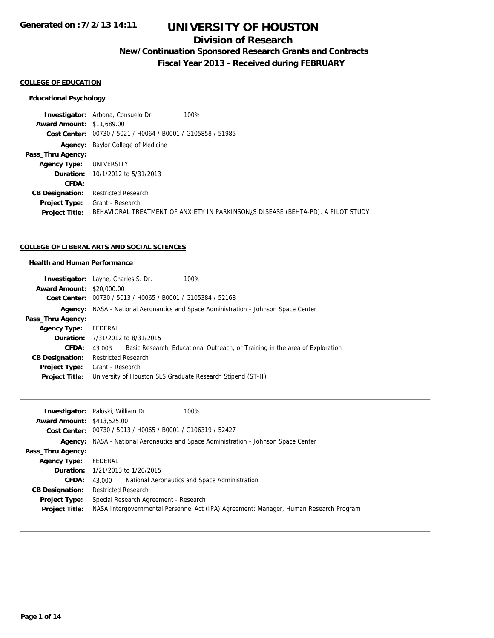## **Division of Research**

**New/Continuation Sponsored Research Grants and Contracts**

**Fiscal Year 2013 - Received during FEBRUARY**

### **COLLEGE OF EDUCATION**

#### **Educational Psychology**

**Investigator:** Arbona, Consuelo Dr. 100% **Award Amount:** \$11,689.00 **Cost Center:** 00730 / 5021 / H0064 / B0001 / G105858 / 51985 **Agency:** Baylor College of Medicine **Pass\_Thru Agency: Agency Type:** UNIVERSITY **Duration:** 10/1/2012 to 5/31/2013 **CFDA: CB Designation:** Restricted Research **Project Type:** Grant - Research **Project Title:** BEHAVIORAL TREATMENT OF ANXIETY IN PARKINSON¿S DISEASE (BEHTA-PD): A PILOT STUDY

#### **COLLEGE OF LIBERAL ARTS AND SOCIAL SCIENCES**

### **Health and Human Performance**

| <b>Investigator:</b> Layne, Charles S. Dr. |                            |                                                             | 100%                                                                                |
|--------------------------------------------|----------------------------|-------------------------------------------------------------|-------------------------------------------------------------------------------------|
|                                            |                            |                                                             |                                                                                     |
| <b>Award Amount: \$20,000.00</b>           |                            |                                                             |                                                                                     |
|                                            |                            | Cost Center: 00730 / 5013 / H0065 / B0001 / G105384 / 52168 |                                                                                     |
|                                            |                            |                                                             | Agency: NASA - National Aeronautics and Space Administration - Johnson Space Center |
| Pass_Thru Agency:                          |                            |                                                             |                                                                                     |
| <b>Agency Type:</b>                        | FEDERAL                    |                                                             |                                                                                     |
|                                            |                            | <b>Duration:</b> 7/31/2012 to 8/31/2015                     |                                                                                     |
| CFDA:                                      | 43.003                     |                                                             | Basic Research, Educational Outreach, or Training in the area of Exploration        |
| <b>CB Designation:</b>                     | <b>Restricted Research</b> |                                                             |                                                                                     |
| <b>Project Type:</b>                       | Grant - Research           |                                                             |                                                                                     |
| <b>Project Title:</b>                      |                            |                                                             | University of Houston SLS Graduate Research Stipend (ST-II)                         |
|                                            |                            |                                                             |                                                                                     |

|                                   | <b>Investigator:</b> Paloski, William Dr.<br>100%                                     |
|-----------------------------------|---------------------------------------------------------------------------------------|
| <b>Award Amount: \$413,525.00</b> |                                                                                       |
|                                   | Cost Center: 00730 / 5013 / H0065 / B0001 / G106319 / 52427                           |
|                                   | Agency: NASA - National Aeronautics and Space Administration - Johnson Space Center   |
| Pass_Thru Agency:                 |                                                                                       |
| <b>Agency Type:</b>               | FEDERAL                                                                               |
|                                   | <b>Duration:</b> 1/21/2013 to 1/20/2015                                               |
| <b>CFDA:</b>                      | National Aeronautics and Space Administration<br>43.000                               |
| <b>CB Designation:</b>            | <b>Restricted Research</b>                                                            |
| <b>Project Type:</b>              | Special Research Agreement - Research                                                 |
| <b>Project Title:</b>             | NASA Intergovernmental Personnel Act (IPA) Agreement: Manager, Human Research Program |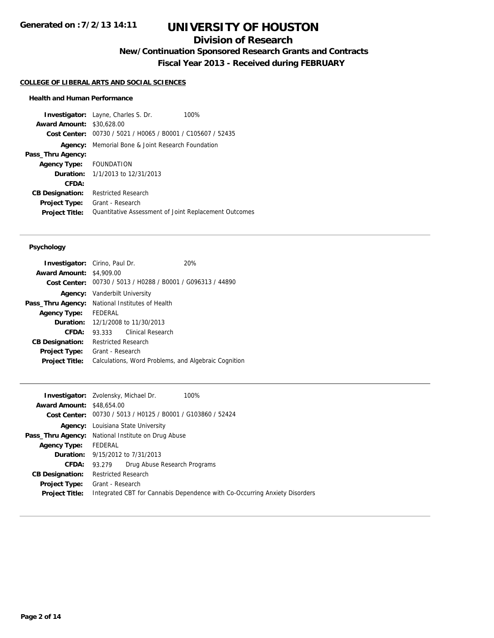# **Division of Research**

**New/Continuation Sponsored Research Grants and Contracts**

**Fiscal Year 2013 - Received during FEBRUARY**

#### **COLLEGE OF LIBERAL ARTS AND SOCIAL SCIENCES**

### **Health and Human Performance**

**Investigator:** Layne, Charles S. Dr. 100% **Award Amount:** \$30,628.00 **Cost Center:** 00730 / 5021 / H0065 / B0001 / C105607 / 52435 **Agency:** Memorial Bone & Joint Research Foundation **Pass\_Thru Agency: Agency Type:** FOUNDATION **Duration:** 1/1/2013 to 12/31/2013 **CFDA: CB Designation:** Restricted Research **Project Type:** Grant - Research **Project Title:** Quantitative Assessment of Joint Replacement Outcomes

### **Psychology**

| <b>Investigator:</b> Cirino, Paul Dr. |                                                             |                   |  | 20% |
|---------------------------------------|-------------------------------------------------------------|-------------------|--|-----|
| <b>Award Amount: \$4,909.00</b>       |                                                             |                   |  |     |
|                                       | Cost Center: 00730 / 5013 / H0288 / B0001 / G096313 / 44890 |                   |  |     |
|                                       | <b>Agency:</b> Vanderbilt University                        |                   |  |     |
| Pass_Thru Agency:                     | National Institutes of Health                               |                   |  |     |
| <b>Agency Type:</b>                   | FFDFRAL                                                     |                   |  |     |
| Duration:                             | 12/1/2008 to 11/30/2013                                     |                   |  |     |
| CFDA:                                 | 93.333                                                      | Clinical Research |  |     |
| <b>CB Designation:</b>                | <b>Restricted Research</b>                                  |                   |  |     |
| Project Type:                         | Grant - Research                                            |                   |  |     |
| <b>Project Title:</b>                 | Calculations, Word Problems, and Algebraic Cognition        |                   |  |     |
|                                       |                                                             |                   |  |     |

| <b>Investigator:</b> Zvolensky, Michael Dr.        |                                         |                              | 100%                                                                       |
|----------------------------------------------------|-----------------------------------------|------------------------------|----------------------------------------------------------------------------|
| <b>Award Amount: \$48,654,00</b>                   |                                         |                              |                                                                            |
|                                                    |                                         |                              | Cost Center: 00730 / 5013 / H0125 / B0001 / G103860 / 52424                |
| Agency:                                            | Louisiana State University              |                              |                                                                            |
| Pass_Thru Agency: National Institute on Drug Abuse |                                         |                              |                                                                            |
| <b>Agency Type:</b>                                | FEDERAL                                 |                              |                                                                            |
|                                                    | <b>Duration:</b> 9/15/2012 to 7/31/2013 |                              |                                                                            |
| CFDA:                                              | 93.279                                  | Drug Abuse Research Programs |                                                                            |
| <b>CB Designation:</b>                             | <b>Restricted Research</b>              |                              |                                                                            |
| <b>Project Type:</b>                               | Grant - Research                        |                              |                                                                            |
| <b>Project Title:</b>                              |                                         |                              | Integrated CBT for Cannabis Dependence with Co-Occurring Anxiety Disorders |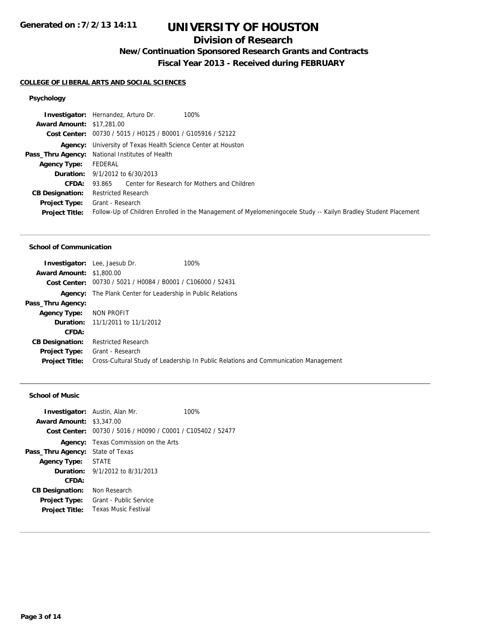## **Division of Research**

**New/Continuation Sponsored Research Grants and Contracts**

**Fiscal Year 2013 - Received during FEBRUARY**

## **COLLEGE OF LIBERAL ARTS AND SOCIAL SCIENCES**

## **Psychology**

|                                  | 100%<br><b>Investigator:</b> Hernandez, Arturo Dr.                                                             |
|----------------------------------|----------------------------------------------------------------------------------------------------------------|
| <b>Award Amount: \$17,281.00</b> |                                                                                                                |
|                                  | Cost Center: 00730 / 5015 / H0125 / B0001 / G105916 / 52122                                                    |
|                                  | <b>Agency:</b> University of Texas Health Science Center at Houston                                            |
|                                  | Pass_Thru Agency: National Institutes of Health                                                                |
| Agency Type:                     | FEDERAL                                                                                                        |
|                                  | <b>Duration:</b> $9/1/2012$ to $6/30/2013$                                                                     |
| <b>CFDA:</b>                     | 93.865 Center for Research for Mothers and Children                                                            |
| <b>CB Designation:</b>           | Restricted Research                                                                                            |
| <b>Project Type:</b>             | Grant - Research                                                                                               |
| <b>Project Title:</b>            | Follow-Up of Children Enrolled in the Management of Myelomeningocele Study -- Kailyn Bradley Student Placement |

## **School of Communication**

|                                 | <b>Investigator:</b> Lee, Jaesub Dr.                               | 100%                                                                                |
|---------------------------------|--------------------------------------------------------------------|-------------------------------------------------------------------------------------|
| <b>Award Amount: \$1,800.00</b> |                                                                    |                                                                                     |
|                                 | Cost Center: 00730 / 5021 / H0084 / B0001 / C106000 / 52431        |                                                                                     |
|                                 | <b>Agency:</b> The Plank Center for Leadership in Public Relations |                                                                                     |
| Pass_Thru Agency:               |                                                                    |                                                                                     |
| <b>Agency Type:</b>             | NON PROFIT                                                         |                                                                                     |
|                                 | <b>Duration:</b> 11/1/2011 to 11/1/2012                            |                                                                                     |
| CFDA:                           |                                                                    |                                                                                     |
| <b>CB Designation:</b>          | <b>Restricted Research</b>                                         |                                                                                     |
| Project Type:                   | Grant - Research                                                   |                                                                                     |
| <b>Project Title:</b>           |                                                                    | Cross-Cultural Study of Leadership In Public Relations and Communication Management |

## **School of Music**

| <b>Award Amount: \$3,347,00</b> | <b>Investigator:</b> Austin, Alan Mr.                       | 100% |
|---------------------------------|-------------------------------------------------------------|------|
|                                 | Cost Center: 00730 / 5016 / H0090 / C0001 / C105402 / 52477 |      |
|                                 | <b>Agency:</b> Texas Commission on the Arts                 |      |
| Pass_Thru Agency:               | State of Texas                                              |      |
| Agency Type:                    | <b>STATE</b>                                                |      |
|                                 | <b>Duration:</b> $9/1/2012$ to $8/31/2013$                  |      |
| CFDA:                           |                                                             |      |
| <b>CB Designation:</b>          | Non Research                                                |      |
| <b>Project Type:</b>            | Grant - Public Service                                      |      |
| <b>Project Title:</b>           | <b>Texas Music Festival</b>                                 |      |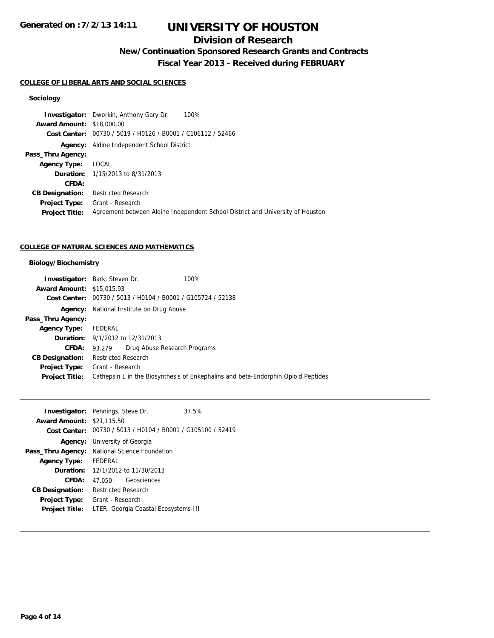# **Division of Research**

**New/Continuation Sponsored Research Grants and Contracts**

**Fiscal Year 2013 - Received during FEBRUARY**

### **COLLEGE OF LIBERAL ARTS AND SOCIAL SCIENCES**

## **Sociology**

|                                  | <b>Investigator:</b> Dworkin, Anthony Gary Dr.<br>100%                         |
|----------------------------------|--------------------------------------------------------------------------------|
| <b>Award Amount: \$18,000.00</b> |                                                                                |
| Cost Center:                     | 00730 / 5019 / H0126 / B0001 / C106112 / 52466                                 |
| Agency:                          | Aldine Independent School District                                             |
| Pass_Thru Agency:                |                                                                                |
| <b>Agency Type:</b>              | LOCAL                                                                          |
|                                  | <b>Duration:</b> 1/15/2013 to 8/31/2013                                        |
| CFDA:                            |                                                                                |
| <b>CB Designation:</b>           | <b>Restricted Research</b>                                                     |
| <b>Project Type:</b>             | Grant - Research                                                               |
| <b>Project Title:</b>            | Agreement between Aldine Independent School District and University of Houston |
|                                  |                                                                                |

## **COLLEGE OF NATURAL SCIENCES AND MATHEMATICS**

## **Biology/Biochemistry**

|                                  | <b>Investigator:</b> Bark, Steven Dr.   |                              | 100%                                                                              |
|----------------------------------|-----------------------------------------|------------------------------|-----------------------------------------------------------------------------------|
| <b>Award Amount: \$15,015.93</b> |                                         |                              |                                                                                   |
|                                  |                                         |                              | Cost Center: 00730 / 5013 / H0104 / B0001 / G105724 / 52138                       |
| Agency:                          | National Institute on Drug Abuse        |                              |                                                                                   |
| Pass_Thru Agency:                |                                         |                              |                                                                                   |
| <b>Agency Type:</b>              | FEDERAL                                 |                              |                                                                                   |
|                                  | <b>Duration:</b> 9/1/2012 to 12/31/2013 |                              |                                                                                   |
| CFDA:                            | 93.279                                  | Drug Abuse Research Programs |                                                                                   |
| <b>CB Designation:</b>           | Restricted Research                     |                              |                                                                                   |
| <b>Project Type:</b>             | Grant - Research                        |                              |                                                                                   |
| <b>Project Title:</b>            |                                         |                              | Cathepsin L in the Biosynthesis of Enkephalins and beta-Endorphin Opioid Peptides |
|                                  |                                         |                              |                                                                                   |

|                                  | <b>Investigator:</b> Pennings, Steve Dr.                    | 37.5% |  |
|----------------------------------|-------------------------------------------------------------|-------|--|
| <b>Award Amount: \$21,115.50</b> |                                                             |       |  |
|                                  | Cost Center: 00730 / 5013 / H0104 / B0001 / G105100 / 52419 |       |  |
|                                  | <b>Agency:</b> University of Georgia                        |       |  |
|                                  | Pass_Thru Agency: National Science Foundation               |       |  |
| <b>Agency Type:</b>              | FEDERAL                                                     |       |  |
|                                  | <b>Duration:</b> 12/1/2012 to 11/30/2013                    |       |  |
| CFDA:                            | Geosciences<br>47.050                                       |       |  |
| <b>CB Designation:</b>           | Restricted Research                                         |       |  |
| <b>Project Type:</b>             | Grant - Research                                            |       |  |
| <b>Project Title:</b>            | LTER: Georgia Coastal Ecosystems-III                        |       |  |
|                                  |                                                             |       |  |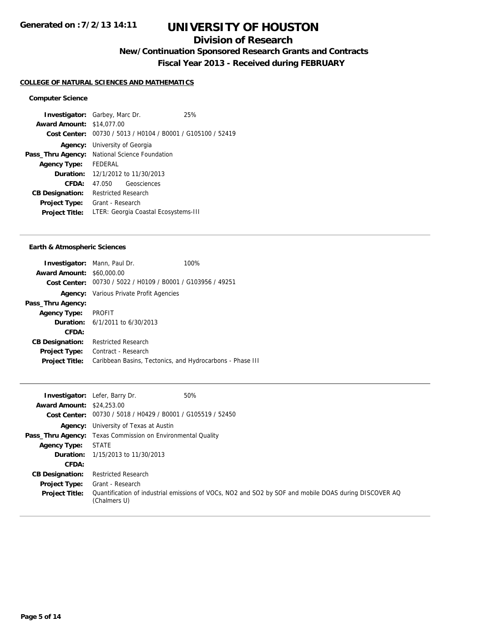# **Division of Research**

**New/Continuation Sponsored Research Grants and Contracts**

**Fiscal Year 2013 - Received during FEBRUARY**

### **COLLEGE OF NATURAL SCIENCES AND MATHEMATICS**

#### **Computer Science**

**Investigator:** Garbey, Marc Dr. 25% **Award Amount:** \$14,077.00 **Cost Center:** 00730 / 5013 / H0104 / B0001 / G105100 / 52419 **Agency:** University of Georgia Pass\_Thru Agency: National Science Foundation **Agency Type:** FEDERAL **Duration:** 12/1/2012 to 11/30/2013 **CFDA:** 47.050 Geosciences **CB Designation:** Restricted Research **Project Type:** Grant - Research **Project Title:** LTER: Georgia Coastal Ecosystems-III

### **Earth & Atmospheric Sciences**

|                                                             | 100%                                                                                                                                                                  |
|-------------------------------------------------------------|-----------------------------------------------------------------------------------------------------------------------------------------------------------------------|
| \$60,000.00                                                 |                                                                                                                                                                       |
| Cost Center: 00730 / 5022 / H0109 / B0001 / G103956 / 49251 |                                                                                                                                                                       |
|                                                             |                                                                                                                                                                       |
|                                                             |                                                                                                                                                                       |
|                                                             |                                                                                                                                                                       |
|                                                             |                                                                                                                                                                       |
|                                                             |                                                                                                                                                                       |
| <b>Restricted Research</b>                                  |                                                                                                                                                                       |
| Contract - Research                                         |                                                                                                                                                                       |
| Caribbean Basins, Tectonics, and Hydrocarbons - Phase III   |                                                                                                                                                                       |
|                                                             | <b>Investigator:</b> Mann, Paul Dr.<br><b>Award Amount:</b><br><b>Agency:</b> Various Private Profit Agencies<br>PROFIT<br><b>Duration:</b> $6/1/2011$ to $6/30/2013$ |

|                                  | <b>Investigator:</b> Lefer, Barry Dr.                                | 50%                                                                                                   |
|----------------------------------|----------------------------------------------------------------------|-------------------------------------------------------------------------------------------------------|
| <b>Award Amount: \$24,253.00</b> |                                                                      |                                                                                                       |
|                                  | <b>Cost Center:</b> $00730 / 5018 / 40429 / 80001 / 6105519 / 52450$ |                                                                                                       |
|                                  | <b>Agency:</b> University of Texas at Austin                         |                                                                                                       |
|                                  | <b>Pass_Thru Agency:</b> Texas Commission on Environmental Quality   |                                                                                                       |
| <b>Agency Type:</b>              | STATE                                                                |                                                                                                       |
|                                  | <b>Duration:</b> 1/15/2013 to 11/30/2013                             |                                                                                                       |
| CFDA:                            |                                                                      |                                                                                                       |
| <b>CB Designation:</b>           | <b>Restricted Research</b>                                           |                                                                                                       |
| <b>Project Type:</b>             | Grant - Research                                                     |                                                                                                       |
| <b>Project Title:</b>            | (Chalmers U)                                                         | Quantification of industrial emissions of VOCs, NO2 and SO2 by SOF and mobile DOAS during DISCOVER AQ |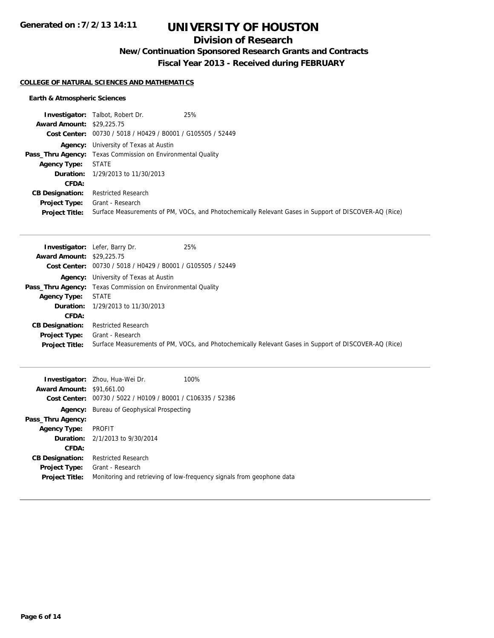# **Division of Research**

**New/Continuation Sponsored Research Grants and Contracts**

**Fiscal Year 2013 - Received during FEBRUARY**

## **COLLEGE OF NATURAL SCIENCES AND MATHEMATICS**

## **Earth & Atmospheric Sciences**

|                                  | 25%<br><b>Investigator:</b> Talbot, Robert Dr.                                                        |
|----------------------------------|-------------------------------------------------------------------------------------------------------|
| <b>Award Amount: \$29,225.75</b> |                                                                                                       |
|                                  | Cost Center: 00730 / 5018 / H0429 / B0001 / G105505 / 52449                                           |
|                                  | <b>Agency:</b> University of Texas at Austin                                                          |
|                                  | <b>Pass_Thru Agency:</b> Texas Commission on Environmental Quality                                    |
| <b>Agency Type:</b>              | STATE                                                                                                 |
|                                  | <b>Duration:</b> 1/29/2013 to 11/30/2013                                                              |
| <b>CFDA:</b>                     |                                                                                                       |
| <b>CB Designation:</b>           | <b>Restricted Research</b>                                                                            |
| <b>Project Type:</b>             | Grant - Research                                                                                      |
| <b>Project Title:</b>            | Surface Measurements of PM, VOCs, and Photochemically Relevant Gases in Support of DISCOVER-AQ (Rice) |

|                                  | <b>Investigator:</b> Lefer, Barry Dr.                              | 25%                                                                                                   |
|----------------------------------|--------------------------------------------------------------------|-------------------------------------------------------------------------------------------------------|
| <b>Award Amount: \$29,225.75</b> |                                                                    |                                                                                                       |
|                                  | Cost Center: 00730 / 5018 / H0429 / B0001 / G105505 / 52449        |                                                                                                       |
|                                  | <b>Agency:</b> University of Texas at Austin                       |                                                                                                       |
|                                  | <b>Pass_Thru Agency:</b> Texas Commission on Environmental Quality |                                                                                                       |
| <b>Agency Type:</b>              | <b>STATE</b>                                                       |                                                                                                       |
|                                  | <b>Duration:</b> $1/29/2013$ to $11/30/2013$                       |                                                                                                       |
| CFDA:                            |                                                                    |                                                                                                       |
| <b>CB Designation:</b>           | <b>Restricted Research</b>                                         |                                                                                                       |
| Project Type:                    | Grant - Research                                                   |                                                                                                       |
| <b>Project Title:</b>            |                                                                    | Surface Measurements of PM, VOCs, and Photochemically Relevant Gases in Support of DISCOVER-AQ (Rice) |

| <b>Award Amount: \$91,661.00</b> | 100%<br><b>Investigator:</b> Zhou, Hua-Wei Dr.<br>Cost Center: 00730 / 5022 / H0109 / B0001 / C106335 / 52386 |
|----------------------------------|---------------------------------------------------------------------------------------------------------------|
|                                  | <b>Agency:</b> Bureau of Geophysical Prospecting                                                              |
| Pass_Thru Agency:                |                                                                                                               |
| <b>Agency Type:</b>              | PROFIT                                                                                                        |
|                                  | <b>Duration:</b> $2/1/2013$ to $9/30/2014$                                                                    |
| CFDA:                            |                                                                                                               |
| <b>CB Designation:</b>           | <b>Restricted Research</b>                                                                                    |
| <b>Project Type:</b>             | Grant - Research                                                                                              |
| <b>Project Title:</b>            | Monitoring and retrieving of low-frequency signals from geophone data                                         |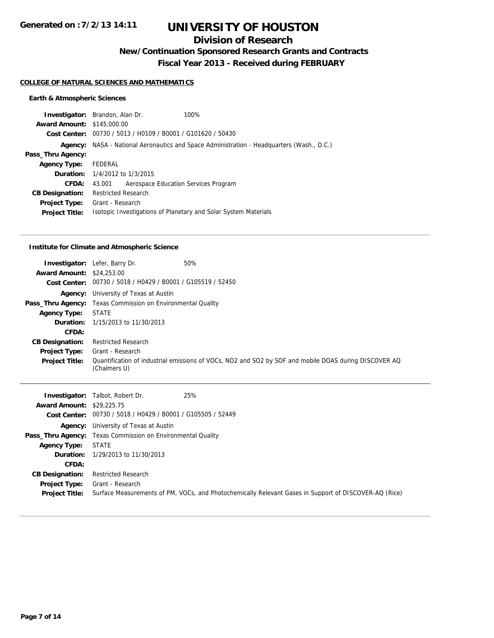# **Division of Research**

**New/Continuation Sponsored Research Grants and Contracts**

**Fiscal Year 2013 - Received during FEBRUARY**

#### **COLLEGE OF NATURAL SCIENCES AND MATHEMATICS**

## **Earth & Atmospheric Sciences**

|                                   | <b>Investigator:</b> Brandon, Alan Dr.                          | 100%                                                                                             |
|-----------------------------------|-----------------------------------------------------------------|--------------------------------------------------------------------------------------------------|
| <b>Award Amount: \$145,000.00</b> |                                                                 |                                                                                                  |
|                                   | Cost Center: 00730 / 5013 / H0109 / B0001 / G101620 / 50430     |                                                                                                  |
|                                   |                                                                 | <b>Agency:</b> NASA - National Aeronautics and Space Administration - Headquarters (Wash., D.C.) |
| Pass_Thru Agency:                 |                                                                 |                                                                                                  |
| <b>Agency Type:</b>               | FEDERAL                                                         |                                                                                                  |
|                                   | <b>Duration:</b> 1/4/2012 to 1/3/2015                           |                                                                                                  |
| CFDA:                             | Aerospace Education Services Program<br>43.001                  |                                                                                                  |
| <b>CB Designation:</b>            | <b>Restricted Research</b>                                      |                                                                                                  |
| <b>Project Type:</b>              | Grant - Research                                                |                                                                                                  |
| <b>Project Title:</b>             | Isotopic Investigations of Planetary and Solar System Materials |                                                                                                  |
|                                   |                                                                 |                                                                                                  |

### **Institute for Climate and Atmospheric Science**

| <b>Award Amount: \$24,253,00</b> | 50%<br><b>Investigator:</b> Lefer, Barry Dr.<br>Cost Center: 00730 / 5018 / H0429 / B0001 / G105519 / 52450 |                                                                                                       |
|----------------------------------|-------------------------------------------------------------------------------------------------------------|-------------------------------------------------------------------------------------------------------|
|                                  | <b>Agency:</b> University of Texas at Austin                                                                |                                                                                                       |
|                                  | <b>Pass_Thru Agency:</b> Texas Commission on Environmental Quality                                          |                                                                                                       |
| <b>Agency Type:</b>              | <b>STATE</b>                                                                                                |                                                                                                       |
|                                  | <b>Duration:</b> 1/15/2013 to 11/30/2013                                                                    |                                                                                                       |
| CFDA:                            |                                                                                                             |                                                                                                       |
| <b>CB Designation:</b>           | <b>Restricted Research</b>                                                                                  |                                                                                                       |
| <b>Project Type:</b>             | Grant - Research                                                                                            |                                                                                                       |
| <b>Project Title:</b>            | (Chalmers U)                                                                                                | Quantification of industrial emissions of VOCs, NO2 and SO2 by SOF and mobile DOAS during DISCOVER AQ |

|                                  | 25%<br><b>Investigator:</b> Talbot, Robert Dr.                                                        |  |
|----------------------------------|-------------------------------------------------------------------------------------------------------|--|
| <b>Award Amount: \$29,225.75</b> |                                                                                                       |  |
|                                  | Cost Center: 00730 / 5018 / H0429 / B0001 / G105505 / 52449                                           |  |
|                                  | <b>Agency:</b> University of Texas at Austin                                                          |  |
|                                  | <b>Pass_Thru Agency:</b> Texas Commission on Environmental Quality                                    |  |
| <b>Agency Type:</b>              | <b>STATE</b>                                                                                          |  |
|                                  | <b>Duration:</b> 1/29/2013 to 11/30/2013                                                              |  |
| CFDA:                            |                                                                                                       |  |
| <b>CB Designation:</b>           | <b>Restricted Research</b>                                                                            |  |
| Project Type:                    | Grant - Research                                                                                      |  |
| <b>Project Title:</b>            | Surface Measurements of PM, VOCs, and Photochemically Relevant Gases in Support of DISCOVER-AQ (Rice) |  |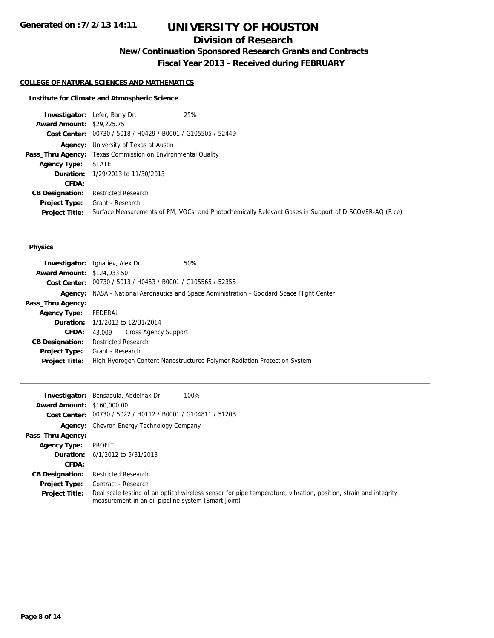# **Division of Research**

**New/Continuation Sponsored Research Grants and Contracts**

**Fiscal Year 2013 - Received during FEBRUARY**

### **COLLEGE OF NATURAL SCIENCES AND MATHEMATICS**

## **Institute for Climate and Atmospheric Science**

|                                  | 25%<br><b>Investigator:</b> Lefer, Barry Dr.                                                          |  |
|----------------------------------|-------------------------------------------------------------------------------------------------------|--|
| <b>Award Amount: \$29,225.75</b> |                                                                                                       |  |
|                                  | Cost Center: 00730 / 5018 / H0429 / B0001 / G105505 / 52449                                           |  |
|                                  | <b>Agency:</b> University of Texas at Austin                                                          |  |
|                                  | <b>Pass_Thru Agency:</b> Texas Commission on Environmental Quality                                    |  |
| Agency Type:                     | <b>STATE</b>                                                                                          |  |
|                                  | <b>Duration:</b> 1/29/2013 to 11/30/2013                                                              |  |
| <b>CFDA:</b>                     |                                                                                                       |  |
| <b>CB Designation:</b>           | <b>Restricted Research</b>                                                                            |  |
| Project Type:                    | Grant - Research                                                                                      |  |
| <b>Project Title:</b>            | Surface Measurements of PM, VOCs, and Photochemically Relevant Gases in Support of DISCOVER-AQ (Rice) |  |

### **Physics**

|                                   | <b>Investigator:</b> Ignatiev, Alex Dr.                     | 50%                                                                                |
|-----------------------------------|-------------------------------------------------------------|------------------------------------------------------------------------------------|
| <b>Award Amount: \$124,933.50</b> |                                                             |                                                                                    |
|                                   | Cost Center: 00730 / 5013 / H0453 / B0001 / G105565 / 52355 |                                                                                    |
| Agency:                           |                                                             | NASA - National Aeronautics and Space Administration - Goddard Space Flight Center |
| Pass_Thru Agency:                 |                                                             |                                                                                    |
| <b>Agency Type:</b>               | FEDERAL                                                     |                                                                                    |
|                                   | <b>Duration:</b> 1/1/2013 to 12/31/2014                     |                                                                                    |
| <b>CFDA:</b>                      | <b>Cross Agency Support</b><br>43.009                       |                                                                                    |
| <b>CB Designation:</b>            | <b>Restricted Research</b>                                  |                                                                                    |
| <b>Project Type:</b>              | Grant - Research                                            |                                                                                    |
| <b>Project Title:</b>             |                                                             | High Hydrogen Content Nanostructured Polymer Radiation Protection System           |
|                                   |                                                             |                                                                                    |

|                                   | 100%<br><b>Investigator:</b> Bensaoula, Abdelhak Dr.                                                                                                                    |
|-----------------------------------|-------------------------------------------------------------------------------------------------------------------------------------------------------------------------|
| <b>Award Amount: \$160,000.00</b> |                                                                                                                                                                         |
|                                   | Cost Center: 00730 / 5022 / H0112 / B0001 / G104811 / 51208                                                                                                             |
|                                   | <b>Agency:</b> Chevron Energy Technology Company                                                                                                                        |
| Pass_Thru Agency:                 |                                                                                                                                                                         |
| <b>Agency Type:</b>               | PROFIT                                                                                                                                                                  |
|                                   | <b>Duration:</b> $6/1/2012$ to $5/31/2013$                                                                                                                              |
| CFDA:                             |                                                                                                                                                                         |
| <b>CB Designation:</b>            | <b>Restricted Research</b>                                                                                                                                              |
| <b>Project Type:</b>              | Contract - Research                                                                                                                                                     |
| <b>Project Title:</b>             | Real scale testing of an optical wireless sensor for pipe temperature, vibration, position, strain and integrity<br>measurement in an oil pipeline system (Smart Joint) |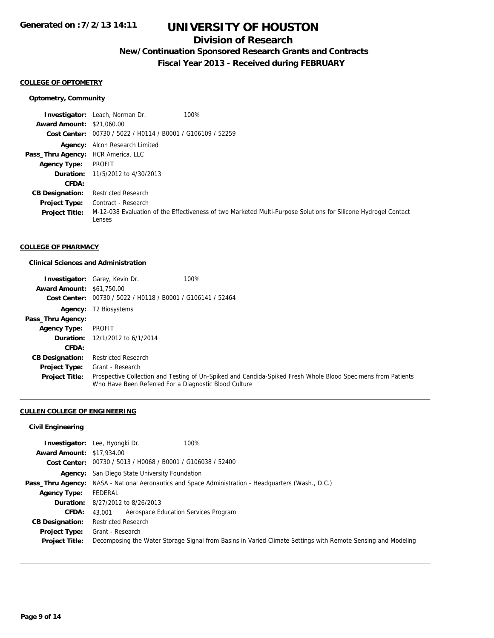## **Division of Research**

**New/Continuation Sponsored Research Grants and Contracts**

**Fiscal Year 2013 - Received during FEBRUARY**

#### **COLLEGE OF OPTOMETRY**

### **Optometry, Community**

**Investigator:** Leach, Norman Dr. 100% **Award Amount:** \$21,060.00 **Cost Center:** 00730 / 5022 / H0114 / B0001 / G106109 / 52259 **Agency:** Alcon Research Limited **Pass\_Thru Agency:** HCR America, LLC **Agency Type:** PROFIT **Duration:** 11/5/2012 to 4/30/2013 **CFDA: CB Designation:** Restricted Research **Project Type:** Contract - Research **Project Title:** M-12-038 Evaluation of the Effectiveness of two Marketed Multi-Purpose Solutions for Silicone Hydrogel Contact Lenses

### **COLLEGE OF PHARMACY**

### **Clinical Sciences and Administration**

|                                  | <b>Investigator:</b> Garey, Kevin Dr.                       | 100%                                                                                                         |
|----------------------------------|-------------------------------------------------------------|--------------------------------------------------------------------------------------------------------------|
| <b>Award Amount: \$61,750.00</b> |                                                             |                                                                                                              |
|                                  | Cost Center: 00730 / 5022 / H0118 / B0001 / G106141 / 52464 |                                                                                                              |
|                                  | <b>Agency:</b> T2 Biosystems                                |                                                                                                              |
| Pass_Thru Agency:                |                                                             |                                                                                                              |
| <b>Agency Type:</b>              | PROFIT                                                      |                                                                                                              |
|                                  | <b>Duration:</b> $12/1/2012$ to $6/1/2014$                  |                                                                                                              |
| CFDA:                            |                                                             |                                                                                                              |
| <b>CB Designation:</b>           | <b>Restricted Research</b>                                  |                                                                                                              |
| <b>Project Type:</b>             | Grant - Research                                            |                                                                                                              |
| <b>Project Title:</b>            | Who Have Been Referred For a Diagnostic Blood Culture       | Prospective Collection and Testing of Un-Spiked and Candida-Spiked Fresh Whole Blood Specimens from Patients |

### **CULLEN COLLEGE OF ENGINEERING**

### **Civil Engineering**

|                                  | 100%<br><b>Investigator:</b> Lee, Hyongki Dr.                                                                |
|----------------------------------|--------------------------------------------------------------------------------------------------------------|
| <b>Award Amount: \$17,934.00</b> |                                                                                                              |
|                                  | Cost Center: 00730 / 5013 / H0068 / B0001 / G106038 / 52400                                                  |
|                                  | <b>Agency:</b> San Diego State University Foundation                                                         |
|                                  | <b>Pass_Thru Agency:</b> NASA - National Aeronautics and Space Administration - Headquarters (Wash., D.C.)   |
| <b>Agency Type:</b>              | FEDERAL                                                                                                      |
|                                  | <b>Duration:</b> 8/27/2012 to 8/26/2013                                                                      |
| <b>CFDA:</b>                     | Aerospace Education Services Program<br>43.001                                                               |
| <b>CB Designation:</b>           | <b>Restricted Research</b>                                                                                   |
| Project Type:                    | Grant - Research                                                                                             |
| <b>Project Title:</b>            | Decomposing the Water Storage Signal from Basins in Varied Climate Settings with Remote Sensing and Modeling |
|                                  |                                                                                                              |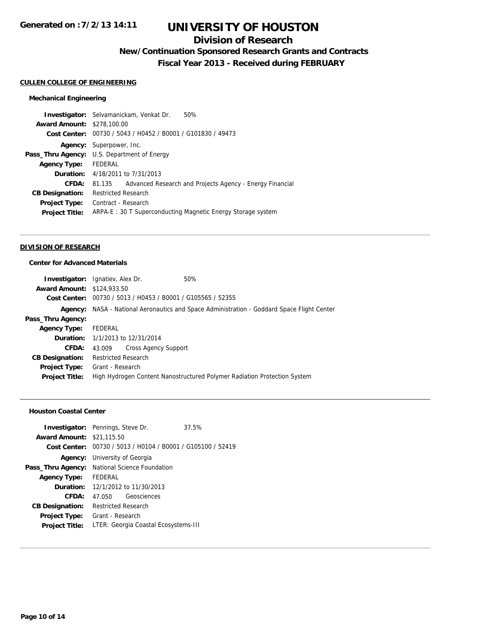## **Division of Research**

**New/Continuation Sponsored Research Grants and Contracts**

**Fiscal Year 2013 - Received during FEBRUARY**

#### **CULLEN COLLEGE OF ENGINEERING**

## **Mechanical Engineering**

|                                   | 50%<br><b>Investigator:</b> Selvamanickam, Venkat Dr.              |  |  |
|-----------------------------------|--------------------------------------------------------------------|--|--|
| <b>Award Amount: \$278,100.00</b> |                                                                    |  |  |
| Cost Center:                      | 00730 / 5043 / H0452 / B0001 / G101830 / 49473                     |  |  |
|                                   | <b>Agency:</b> Superpower, Inc.                                    |  |  |
|                                   | <b>Pass_Thru Agency:</b> U.S. Department of Energy                 |  |  |
| <b>Agency Type:</b>               | FEDERAL                                                            |  |  |
|                                   | <b>Duration:</b> 4/18/2011 to 7/31/2013                            |  |  |
| CFDA:                             | Advanced Research and Projects Agency - Energy Financial<br>81.135 |  |  |
| <b>CB Designation:</b>            | <b>Restricted Research</b>                                         |  |  |
| <b>Project Type:</b>              | Contract - Research                                                |  |  |
| <b>Project Title:</b>             | ARPA-E: 30 T Superconducting Magnetic Energy Storage system        |  |  |
|                                   |                                                                    |  |  |

#### **DIVISION OF RESEARCH**

## **Center for Advanced Materials**

| <b>Investigator:</b> Ignatiev, Alex Dr.                     | 50%                                                                                               |
|-------------------------------------------------------------|---------------------------------------------------------------------------------------------------|
| <b>Award Amount: \$124,933.50</b>                           |                                                                                                   |
| Cost Center: 00730 / 5013 / H0453 / B0001 / G105565 / 52355 |                                                                                                   |
|                                                             | <b>Agency:</b> NASA - National Aeronautics and Space Administration - Goddard Space Flight Center |
|                                                             |                                                                                                   |
| Agency Type: FEDERAL                                        |                                                                                                   |
| <b>Duration:</b> 1/1/2013 to 12/31/2014                     |                                                                                                   |
| Cross Agency Support<br>43.009                              |                                                                                                   |
| <b>Restricted Research</b>                                  |                                                                                                   |
| <b>Project Type:</b> Grant - Research                       |                                                                                                   |
|                                                             | High Hydrogen Content Nanostructured Polymer Radiation Protection System                          |
|                                                             |                                                                                                   |

### **Houston Coastal Center**

|                                  | <b>Investigator:</b> Pennings, Steve Dr.                    | 37.5% |  |  |
|----------------------------------|-------------------------------------------------------------|-------|--|--|
| <b>Award Amount: \$21,115.50</b> |                                                             |       |  |  |
|                                  | Cost Center: 00730 / 5013 / H0104 / B0001 / G105100 / 52419 |       |  |  |
|                                  | <b>Agency:</b> University of Georgia                        |       |  |  |
| Pass_Thru Agency:                | National Science Foundation                                 |       |  |  |
| <b>Agency Type:</b>              | FFDFRAI                                                     |       |  |  |
|                                  | <b>Duration:</b> 12/1/2012 to 11/30/2013                    |       |  |  |
| CFDA:                            | 47.050 Geosciences                                          |       |  |  |
| <b>CB Designation:</b>           | <b>Restricted Research</b>                                  |       |  |  |
| <b>Project Type:</b>             | Grant - Research                                            |       |  |  |
| <b>Project Title:</b>            | LTER: Georgia Coastal Ecosystems-III                        |       |  |  |
|                                  |                                                             |       |  |  |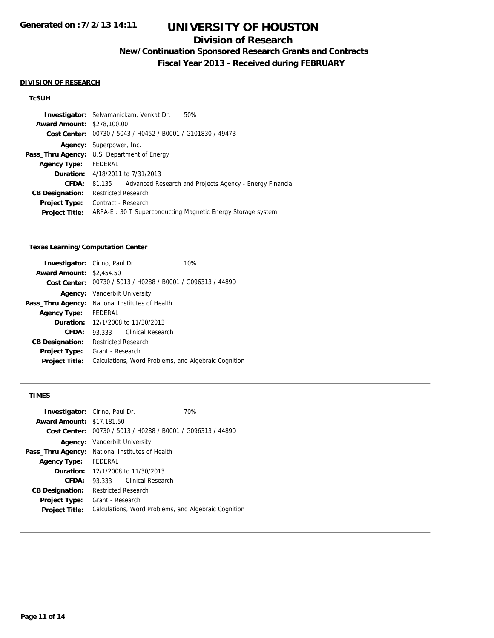## **Division of Research**

**New/Continuation Sponsored Research Grants and Contracts**

**Fiscal Year 2013 - Received during FEBRUARY**

#### **DIVISION OF RESEARCH**

### **TcSUH**

|                                   | <b>Investigator:</b> Selvamanickam, Venkat Dr.<br>50%              |  |  |  |
|-----------------------------------|--------------------------------------------------------------------|--|--|--|
| <b>Award Amount: \$278,100.00</b> |                                                                    |  |  |  |
| Cost Center:                      | 00730 / 5043 / H0452 / B0001 / G101830 / 49473                     |  |  |  |
|                                   | <b>Agency:</b> Superpower, Inc.                                    |  |  |  |
|                                   | <b>Pass_Thru Agency:</b> U.S. Department of Energy                 |  |  |  |
| <b>Agency Type:</b>               | FEDERAL                                                            |  |  |  |
|                                   | <b>Duration:</b> 4/18/2011 to 7/31/2013                            |  |  |  |
| CFDA:                             | Advanced Research and Projects Agency - Energy Financial<br>81.135 |  |  |  |
| <b>CB Designation:</b>            | <b>Restricted Research</b>                                         |  |  |  |
| <b>Project Type:</b>              | Contract - Research                                                |  |  |  |
| <b>Project Title:</b>             | ARPA-E: 30 T Superconducting Magnetic Energy Storage system        |  |  |  |
|                                   |                                                                    |  |  |  |

### **Texas Learning/Computation Center**

|                                 | <b>Investigator:</b> Cirino, Paul Dr. | 10%                                                         |  |
|---------------------------------|---------------------------------------|-------------------------------------------------------------|--|
| <b>Award Amount: \$2,454.50</b> |                                       |                                                             |  |
|                                 |                                       | Cost Center: 00730 / 5013 / H0288 / B0001 / G096313 / 44890 |  |
|                                 | <b>Agency:</b> Vanderbilt University  |                                                             |  |
| Pass_Thru Agency:               | National Institutes of Health         |                                                             |  |
| <b>Agency Type:</b>             | <b>FFDFRAL</b>                        |                                                             |  |
| Duration:                       | 12/1/2008 to 11/30/2013               |                                                             |  |
| CFDA:                           | 93.333                                | Clinical Research                                           |  |
| <b>CB Designation:</b>          | <b>Restricted Research</b>            |                                                             |  |
| Project Type:                   | Grant - Research                      |                                                             |  |
| <b>Project Title:</b>           |                                       | Calculations, Word Problems, and Algebraic Cognition        |  |
|                                 |                                       |                                                             |  |

## **TIMES**

|                                  | <b>Investigator:</b> Cirino, Paul Dr.                | 70%                                            |  |
|----------------------------------|------------------------------------------------------|------------------------------------------------|--|
| <b>Award Amount: \$17,181.50</b> |                                                      |                                                |  |
| Cost Center:                     |                                                      | 00730 / 5013 / H0288 / B0001 / G096313 / 44890 |  |
| Agency:                          | Vanderbilt University                                |                                                |  |
|                                  | Pass_Thru Agency: National Institutes of Health      |                                                |  |
| <b>Agency Type:</b>              | <b>FEDERAL</b>                                       |                                                |  |
|                                  | <b>Duration:</b> 12/1/2008 to 11/30/2013             |                                                |  |
| CFDA:                            | 93.333                                               | <b>Clinical Research</b>                       |  |
| <b>CB Designation:</b>           | <b>Restricted Research</b>                           |                                                |  |
| Project Type:                    | Grant - Research                                     |                                                |  |
| <b>Project Title:</b>            | Calculations, Word Problems, and Algebraic Cognition |                                                |  |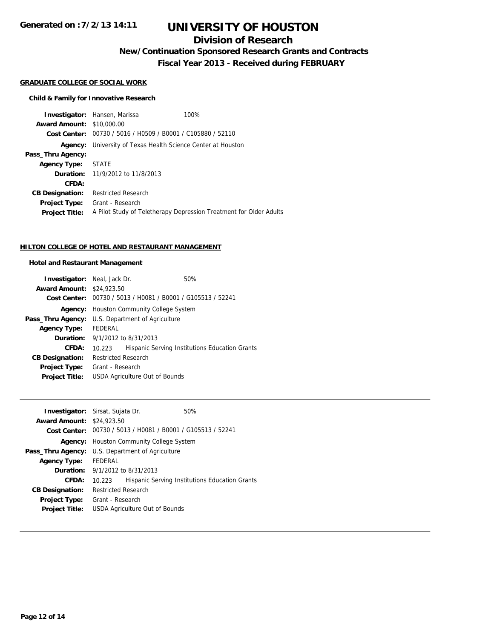**Generated on :7/2/13 14:11**

# **UNIVERSITY OF HOUSTON**

# **Division of Research**

**New/Continuation Sponsored Research Grants and Contracts**

**Fiscal Year 2013 - Received during FEBRUARY**

## **GRADUATE COLLEGE OF SOCIAL WORK**

#### **Child & Family for Innovative Research**

**Investigator:** Hansen, Marissa 100% **Award Amount:** \$10,000.00 **Cost Center:** 00730 / 5016 / H0509 / B0001 / C105880 / 52110 **Agency:** University of Texas Health Science Center at Houston **Pass\_Thru Agency: Agency Type:** STATE **Duration:** 11/9/2012 to 11/8/2013 **CFDA: CB Designation:** Restricted Research **Project Type:** Grant - Research **Project Title:** A Pilot Study of Teletherapy Depression Treatment for Older Adults

#### **HILTON COLLEGE OF HOTEL AND RESTAURANT MANAGEMENT**

#### **Hotel and Restaurant Management**

| <b>Investigator:</b> Neal, Jack Dr. |                                                             |  | 50%                                            |  |
|-------------------------------------|-------------------------------------------------------------|--|------------------------------------------------|--|
| <b>Award Amount: \$24,923.50</b>    |                                                             |  |                                                |  |
|                                     | Cost Center: 00730 / 5013 / H0081 / B0001 / G105513 / 52241 |  |                                                |  |
| Agency:                             | <b>Houston Community College System</b>                     |  |                                                |  |
|                                     | <b>Pass_Thru Agency:</b> U.S. Department of Agriculture     |  |                                                |  |
| <b>Agency Type:</b>                 | FEDERAL                                                     |  |                                                |  |
|                                     | <b>Duration:</b> 9/1/2012 to 8/31/2013                      |  |                                                |  |
| CFDA:                               | 10.223                                                      |  | Hispanic Serving Institutions Education Grants |  |
| <b>CB Designation:</b>              | <b>Restricted Research</b>                                  |  |                                                |  |
| <b>Project Type:</b>                | Grant - Research                                            |  |                                                |  |
| <b>Project Title:</b>               | USDA Agriculture Out of Bounds                              |  |                                                |  |

| <b>Investigator:</b> Sirsat, Sujata Dr. |                                            |                                | 50%                                                         |  |
|-----------------------------------------|--------------------------------------------|--------------------------------|-------------------------------------------------------------|--|
| <b>Award Amount: \$24,923.50</b>        |                                            |                                |                                                             |  |
|                                         |                                            |                                | Cost Center: 00730 / 5013 / H0081 / B0001 / G105513 / 52241 |  |
| Agency:                                 | <b>Houston Community College System</b>    |                                |                                                             |  |
| Pass_Thru Agency:                       | U.S. Department of Agriculture             |                                |                                                             |  |
| <b>Agency Type:</b>                     | FEDERAL                                    |                                |                                                             |  |
|                                         | <b>Duration:</b> $9/1/2012$ to $8/31/2013$ |                                |                                                             |  |
| CFDA:                                   | 10.223                                     |                                | Hispanic Serving Institutions Education Grants              |  |
| <b>CB Designation:</b>                  | <b>Restricted Research</b>                 |                                |                                                             |  |
| <b>Project Type:</b>                    | Grant - Research                           |                                |                                                             |  |
| <b>Project Title:</b>                   |                                            | USDA Agriculture Out of Bounds |                                                             |  |
|                                         |                                            |                                |                                                             |  |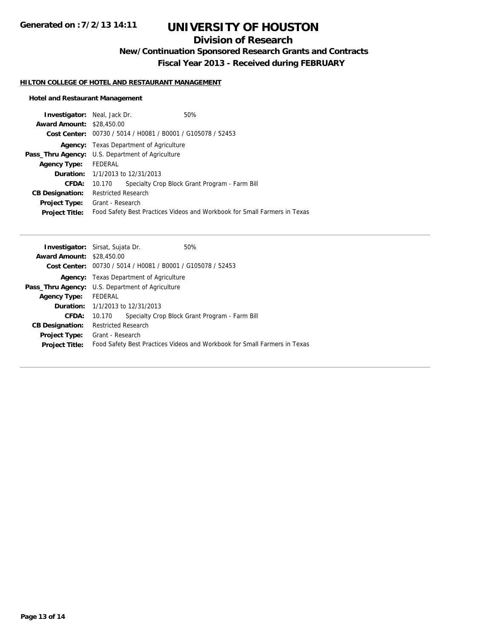# **Division of Research**

**New/Continuation Sponsored Research Grants and Contracts**

**Fiscal Year 2013 - Received during FEBRUARY**

### **HILTON COLLEGE OF HOTEL AND RESTAURANT MANAGEMENT**

## **Hotel and Restaurant Management**

| <b>Investigator:</b> Neal, Jack Dr.                     |                            |                                                             | 50%                                                                       |
|---------------------------------------------------------|----------------------------|-------------------------------------------------------------|---------------------------------------------------------------------------|
| <b>Award Amount: \$28,450.00</b>                        |                            |                                                             |                                                                           |
|                                                         |                            | Cost Center: 00730 / 5014 / H0081 / B0001 / G105078 / 52453 |                                                                           |
|                                                         |                            | <b>Agency:</b> Texas Department of Agriculture              |                                                                           |
| <b>Pass_Thru Agency:</b> U.S. Department of Agriculture |                            |                                                             |                                                                           |
| Agency Type:                                            | FEDERAL                    |                                                             |                                                                           |
|                                                         |                            | <b>Duration:</b> 1/1/2013 to 12/31/2013                     |                                                                           |
| <b>CFDA:</b>                                            | 10.170                     |                                                             | Specialty Crop Block Grant Program - Farm Bill                            |
| <b>CB Designation:</b>                                  | <b>Restricted Research</b> |                                                             |                                                                           |
| Project Type:                                           | Grant - Research           |                                                             |                                                                           |
| <b>Project Title:</b>                                   |                            |                                                             | Food Safety Best Practices Videos and Workbook for Small Farmers in Texas |
|                                                         |                            |                                                             |                                                                           |

| <b>Investigator:</b> Sirsat, Sujata Dr.                 |                                                |                                                                      | 50%                                                                       |
|---------------------------------------------------------|------------------------------------------------|----------------------------------------------------------------------|---------------------------------------------------------------------------|
| <b>Award Amount: \$28,450.00</b>                        |                                                |                                                                      |                                                                           |
|                                                         |                                                | <b>Cost Center:</b> $00730 / 5014 / 10081 / 80001 / 6105078 / 52453$ |                                                                           |
|                                                         | <b>Agency:</b> Texas Department of Agriculture |                                                                      |                                                                           |
| <b>Pass_Thru Agency:</b> U.S. Department of Agriculture |                                                |                                                                      |                                                                           |
| <b>Agency Type:</b>                                     | FEDERAL                                        |                                                                      |                                                                           |
|                                                         |                                                | <b>Duration:</b> 1/1/2013 to 12/31/2013                              |                                                                           |
| CFDA:                                                   | 10.170                                         |                                                                      | Specialty Crop Block Grant Program - Farm Bill                            |
| <b>CB Designation:</b>                                  | <b>Restricted Research</b>                     |                                                                      |                                                                           |
| <b>Project Type:</b> Grant - Research                   |                                                |                                                                      |                                                                           |
| <b>Project Title:</b>                                   |                                                |                                                                      | Food Safety Best Practices Videos and Workbook for Small Farmers in Texas |
|                                                         |                                                |                                                                      |                                                                           |